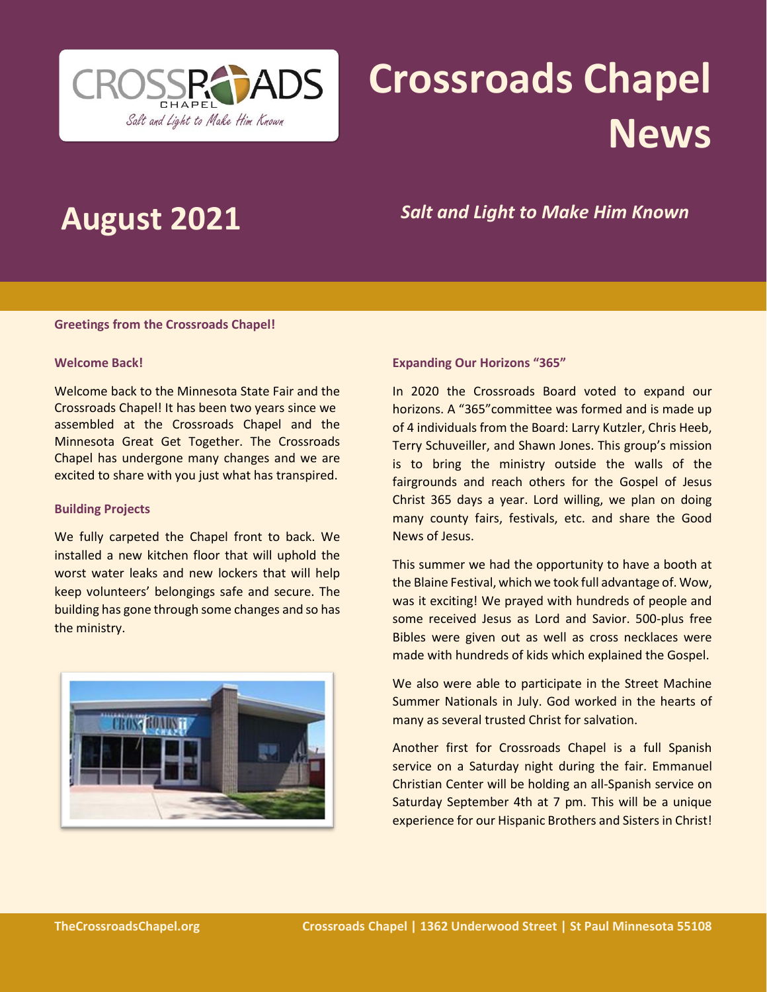

# **Crossroads Chapel News**

# **August 2021** *Salt and Light to Make Him Known*

#### **Greetings from the Crossroads Chapel!**

#### **Welcome Back!**

Welcome back to the Minnesota State Fair and the Crossroads Chapel! It has been two years since we assembled at the Crossroads Chapel and the Minnesota Great Get Together. The Crossroads Chapel has undergone many changes and we are excited to share with you just what has transpired.

#### **Building Projects**

We fully carpeted the Chapel front to back. We installed a new kitchen floor that will uphold the worst water leaks and new lockers that will help keep volunteers' belongings safe and secure. The building has gone through some changes and so has the ministry.



#### **Expanding Our Horizons "365"**

In 2020 the Crossroads Board voted to expand our horizons. A "365"committee was formed and is made up of 4 individuals from the Board: Larry Kutzler, Chris Heeb, Terry Schuveiller, and Shawn Jones. This group's mission is to bring the ministry outside the walls of the fairgrounds and reach others for the Gospel of Jesus Christ 365 days a year. Lord willing, we plan on doing many county fairs, festivals, etc. and share the Good News of Jesus.

This summer we had the opportunity to have a booth at the Blaine Festival, which we took full advantage of. Wow, was it exciting! We prayed with hundreds of people and some received Jesus as Lord and Savior. 500-plus free Bibles were given out as well as cross necklaces were made with hundreds of kids which explained the Gospel.

We also were able to participate in the Street Machine Summer Nationals in July. God worked in the hearts of many as several trusted Christ for salvation.

Another first for Crossroads Chapel is a full Spanish service on a Saturday night during the fair. Emmanuel Christian Center will be holding an all-Spanish service on Saturday September 4th at 7 pm. This will be a unique experience for our Hispanic Brothers and Sisters in Christ!